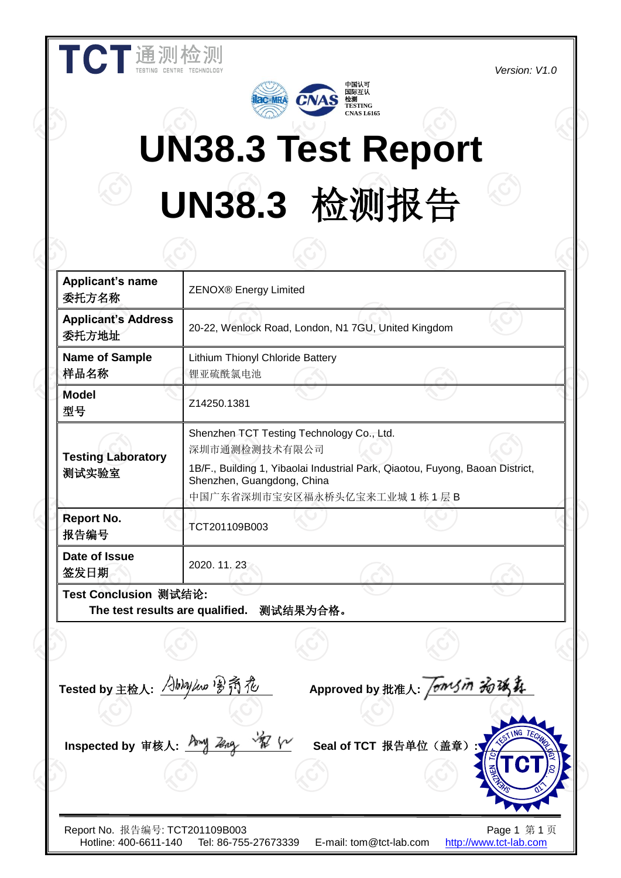**Version:** V1.0



# **UN38.3 Test Report UN38.3** 检测报告

| <b>Applicant's name</b><br>委托方名称                         | <b>ZENOX®</b> Energy Limited                                                             |          |                                                     |                                                                               |  |
|----------------------------------------------------------|------------------------------------------------------------------------------------------|----------|-----------------------------------------------------|-------------------------------------------------------------------------------|--|
| <b>Applicant's Address</b><br>委托方地址                      |                                                                                          |          | 20-22, Wenlock Road, London, N1 7GU, United Kingdom |                                                                               |  |
| <b>Name of Sample</b><br>样品名称                            | Lithium Thionyl Chloride Battery<br>锂亚硫酰氯电池                                              |          |                                                     |                                                                               |  |
| <b>Model</b><br>型号                                       | Z14250.1381                                                                              |          |                                                     |                                                                               |  |
| <b>Testing Laboratory</b><br>测试实验室                       | Shenzhen TCT Testing Technology Co., Ltd.<br>深圳市通测检测技术有限公司<br>Shenzhen, Guangdong, China |          | 中国广东省深圳市宝安区福永桥头亿宝来工业城 1 栋 1 层 B                     | 1B/F., Building 1, Yibaolai Industrial Park, Qiaotou, Fuyong, Baoan District, |  |
| <b>Report No.</b><br>报告编号                                | TCT201109B003                                                                            |          |                                                     |                                                                               |  |
| Date of Issue<br>签发日期                                    | 2020. 11. 23                                                                             |          |                                                     |                                                                               |  |
| Test Conclusion 测试结论:<br>The test results are qualified. |                                                                                          | 测试结果为合格。 |                                                     |                                                                               |  |
|                                                          |                                                                                          |          |                                                     |                                                                               |  |
| Tested by 主检人: 人http://www.po. 乔 花                       |                                                                                          |          | Approved by 批准人: <i>fomsm 为该</i>                    |                                                                               |  |
|                                                          |                                                                                          |          |                                                     |                                                                               |  |
| Inspected by 审核人: <u>Amy Zeng</u>                        |                                                                                          |          | Seal of TCT 报告单位(盖章)                                | <b>ESTING TECH</b>                                                            |  |
| Report No. 报告编号: TCT201109B003<br>Hotline: 400-6611-140  | Tel: 86-755-27673339                                                                     |          | E-mail: tom@tct-lab.com                             | Page 1 第1页<br>http://www.tct-lab.com                                          |  |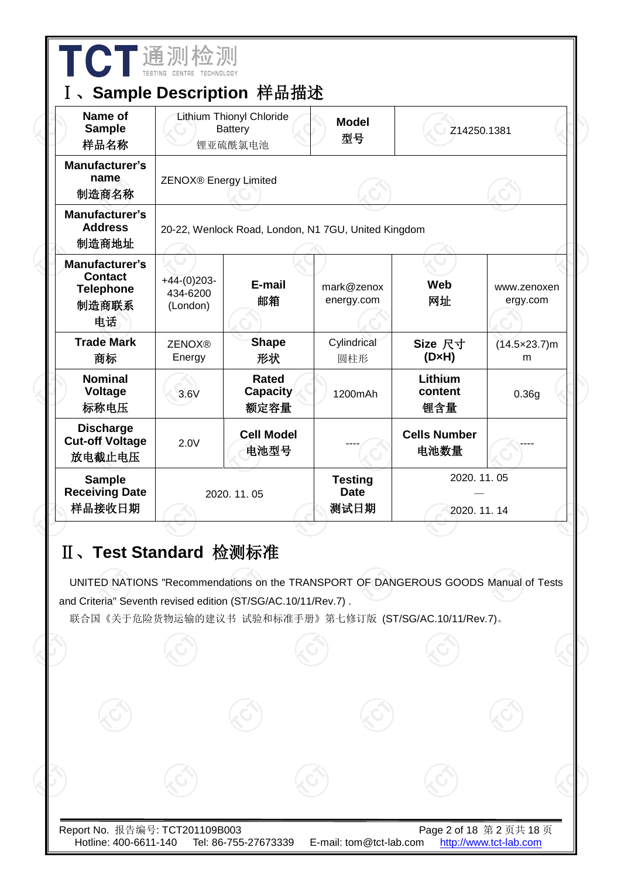| Name of<br><b>Sample</b><br>样品名称                                    |                                       | <b>Lithium Thionyl Chloride</b><br><b>Battery</b><br>锂亚硫酰氯电池  | <b>Model</b><br>型号                                  |                                                                                                                                                 | Z14250.1381                 |  |  |
|---------------------------------------------------------------------|---------------------------------------|---------------------------------------------------------------|-----------------------------------------------------|-------------------------------------------------------------------------------------------------------------------------------------------------|-----------------------------|--|--|
| Manufacturer's<br>name<br>制造商名称                                     | ZENOX® Energy Limited                 |                                                               |                                                     |                                                                                                                                                 |                             |  |  |
| Manufacturer's<br><b>Address</b><br>制造商地址                           |                                       |                                                               | 20-22, Wenlock Road, London, N1 7GU, United Kingdom |                                                                                                                                                 |                             |  |  |
| Manufacturer's<br><b>Contact</b><br><b>Telephone</b><br>制造商联系<br>电话 | $+44-(0)203-$<br>434-6200<br>(London) | E-mail<br>邮箱                                                  | mark@zenox<br>energy.com                            | Web<br>网址                                                                                                                                       | www.zenoxen<br>ergy.com     |  |  |
| <b>Trade Mark</b><br>商标                                             | <b>ZENOX®</b><br>Energy               | <b>Shape</b><br>形状                                            | Cylindrical<br>圆柱形                                  | Size 尺寸<br>$(D \times H)$                                                                                                                       | $(14.5 \times 23.7)$ m<br>m |  |  |
| <b>Nominal</b><br>Voltage<br>标称电压                                   | 3.6V                                  | <b>Rated</b><br><b>Capacity</b><br>额定容量                       | 1200mAh                                             | Lithium<br>content<br>锂含量                                                                                                                       | 0.36g                       |  |  |
| <b>Discharge</b><br><b>Cut-off Voltage</b><br>放电截止电压                | 2.0V                                  | <b>Cell Model</b><br>电池型号                                     |                                                     | <b>Cells Number</b><br>电池数量                                                                                                                     |                             |  |  |
| <b>Sample</b><br><b>Receiving Date</b><br>样品接收日期                    |                                       | 2020. 11. 05                                                  | <b>Testing</b><br><b>Date</b><br>测试日期               | 2020.11.05<br>2020.11.14                                                                                                                        |                             |  |  |
| II、Test Standard 检测标准                                               |                                       | and Criteria" Seventh revised edition (ST/SG/AC.10/11/Rev.7). |                                                     | UNITED NATIONS "Recommendations on the TRANSPORT OF DANGEROUS GOODS Manual of Tests<br>联合国 《关于危险货物运输的建议书 试验和标准手册》 第七修订版 (ST/SG/AC.10/11/Rev.7)。 |                             |  |  |
|                                                                     |                                       |                                                               |                                                     |                                                                                                                                                 |                             |  |  |

 $\overline{\phantom{a}}$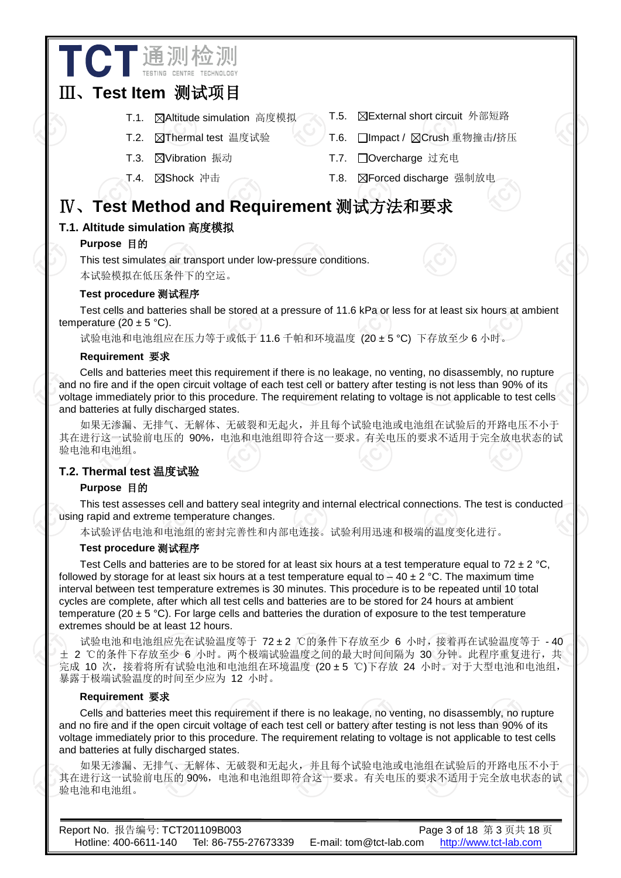# Ⅲ、**Test Item** 测试项目

**TCT** 通测检测

 $\overline{a}$ 

- 
- 
- 
- T.1. **区Altitude simulation** 高度模拟 T.5. **区External short circuit** 外部短路
- T.2. 冈Thermal test 温度试验 T.6. 门Impact / 冈Crush 重物撞击/挤压
- T.3. ⊠Vibration 振动 T.7. □Overcharge 过充电
- T.4. Shock 冲击 T.8. Forced discharge 强制放电

# Ⅳ、**Test Method and Requirement** 测试方法和要求

# **T.1. Altitude simulation** 高度模拟

## **Purpose** 目的

This test simulates air transport under low-pressure conditions. 本试验模拟在低压条件下的空运。

#### **Test procedure** 测试程序

Test cells and batteries shall be stored at a pressure of 11.6 kPa or less for at least six hours at ambient temperature  $(20 \pm 5 \degree C)$ .

试验电池和电池组应在压力等于或低于 11.6 千帕和环境温度 (20 ±5 °C) 下存放至少 6 小时。

#### **Requirement** 要求

Cells and batteries meet this requirement if there is no leakage, no venting, no disassembly, no rupture and no fire and if the open circuit voltage of each test cell or battery after testing is not less than 90% of its voltage immediately prior to this procedure. The requirement relating to voltage is not applicable to test cells and batteries at fully discharged states.

如果无渗漏、无排气、无解体、无破裂和无起火,并且每个试验电池或电池组在试验后的开路电压不小于 其在进行这一试验前电压的 90%, 电池和电池组即符合这一要求。有关电压的要求不适用于完全放电状态的试 验电池和电池组。

## **T.2. Thermal test** 温度试验

#### **Purpose** 目的

This test assesses cell and battery seal integrity and internal electrical connections. The test is conducted using rapid and extreme temperature changes.

本试验评估电池和电池组的密封完善性和内部电连接。试验利用迅速和极端的温度变化进行。

#### **Test procedure** 测试程序

Test Cells and batteries are to be stored for at least six hours at a test temperature equal to 72  $\pm$  2 °C, followed by storage for at least six hours at a test temperature equal to – 40  $\pm$  2 °C. The maximum time interval between test temperature extremes is 30 minutes. This procedure is to be repeated until 10 total cycles are complete, after which all test cells and batteries are to be stored for 24 hours at ambient temperature (20  $\pm$  5 °C). For large cells and batteries the duration of exposure to the test temperature extremes should be at least 12 hours.

试验电池和电池组应先在试验温度等于 72 ±2 ℃的条件下存放至少 6 小时,接着再在试验温度等于 - 40 ± 2 ℃的条件下存放至少 6 小时。两个极端试验温度之间的最大时间间隔为 30 分钟。此程序重复进行, 共 完成 10 次, 接着将所有试验电池和电池组在环境温度 (20±5 ℃)下存放 24 小时。对于大型电池和电池组, 暴露于极端试验温度的时间至少应为 12 小时。

#### **Requirement** 要求

Cells and batteries meet this requirement if there is no leakage, no venting, no disassembly, no rupture and no fire and if the open circuit voltage of each test cell or battery after testing is not less than 90% of its voltage immediately prior to this procedure. The requirement relating to voltage is not applicable to test cells and batteries at fully discharged states.

如果无渗漏、无排气、无解体、无破裂和无起火,并且每个试验电池或电池组在试验后的开路电压不小于 其在进行这一试验前电压的 90%,电池和电池组即符合这一要求。有关电压的要求不适用于完全放电状态的试 验电池和电池组。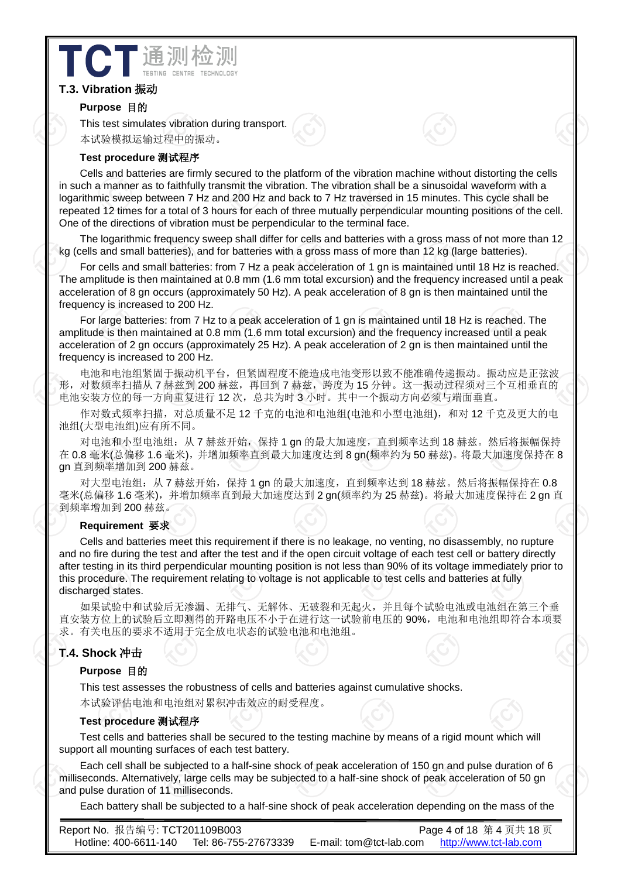# **T.3. Vibration** 振动

#### **Purpose** 目的

This test simulates vibration during transport. 本试验模拟运输过程中的振动。

 $\overline{a}$ 

#### **Test procedure** 测试程序

**ICT** 通测检

Cells and batteries are firmly secured to the platform of the vibration machine without distorting the cells in such a manner as to faithfully transmit the vibration. The vibration shall be a sinusoidal waveform with a logarithmic sweep between 7 Hz and 200 Hz and back to 7 Hz traversed in 15 minutes. This cycle shall be repeated 12 times for a total of 3 hours for each of three mutually perpendicular mounting positions of the cell. One of the directions of vibration must be perpendicular to the terminal face.

The logarithmic frequency sweep shall differ for cells and batteries with a gross mass of not more than 12 kg (cells and small batteries), and for batteries with a gross mass of more than 12 kg (large batteries).

For cells and small batteries: from 7 Hz a peak acceleration of 1 gn is maintained until 18 Hz is reached. The amplitude is then maintained at 0.8 mm (1.6 mm total excursion) and the frequency increased until a peak acceleration of 8 gn occurs (approximately 50 Hz). A peak acceleration of 8 gn is then maintained until the frequency is increased to 200 Hz.

For large batteries: from 7 Hz to a peak acceleration of 1 gn is maintained until 18 Hz is reached. The amplitude is then maintained at 0.8 mm (1.6 mm total excursion) and the frequency increased until a peak acceleration of 2 gn occurs (approximately 25 Hz). A peak acceleration of 2 gn is then maintained until the frequency is increased to 200 Hz.

电池和电池组紧固于振动机平台,但紧固程度不能造成电池变形以致不能准确传递振动。振动应是正弦波 形,对数频率扫描从 7 赫兹到 200 赫兹,再回到 7 赫兹,跨度为 15 分钟。这一振动过程须对三个互相垂直的 电池安装方位的每一方向重复进行 12 次,总共为时 3 小时。其中一个振动方向必须与端面垂直。

作对数式频率扫描,对总质量不足12 千克的电池和电池组(电池和小型电池组),和对 12 千克及更大的电 池组(大型电池组)应有所不同。

对电池和小型电池组:从 7 赫兹开始,保持 1 gn 的最大加速度,直到频率达到 18 赫兹。然后将振幅保持 在 0.8 毫米(总偏移 1.6 毫米), 并增加频率直到最大加速度达到 8 gn(频率约为 50 赫兹)。将最大加速度保持在 8 gn 直到频率增加到 200 赫兹。

对大型电池组: 从 7 赫兹开始,保持 1 gn 的最大加速度,直到频率达到 18 赫兹。然后将振幅保持在 0.8 毫米(总偏移 1.6 毫米),并增加频率直到最大加速度达到 2 gn(频率约为 25 赫兹)。将最大加速度保持在 2 gn 直 到频率增加到 200 赫兹。

#### **Requirement** 要求

Cells and batteries meet this requirement if there is no leakage, no venting, no disassembly, no rupture and no fire during the test and after the test and if the open circuit voltage of each test cell or battery directly after testing in its third perpendicular mounting position is not less than 90% of its voltage immediately prior to this procedure. The requirement relating to voltage is not applicable to test cells and batteries at fully discharged states.

如果试验中和试验后无渗漏、无排气、无解体、无破裂和无起火,并且每个试验电池或电池组在第三个垂 直安装方位上的试验后立即测得的开路电压不小于在进行这一试验前电压的 90%, 电池和电池组即符合本项要 求。有关电压的要求不适用于完全放电状态的试验电池和电池组。

# **T.4. Shock** 冲击

#### **Purpose** 目的

This test assesses the robustness of cells and batteries against cumulative shocks. 本试验评估电池和电池组对累积冲击效应的耐受程度。

#### **Test procedure** 测试程序

Test cells and batteries shall be secured to the testing machine by means of a rigid mount which will support all mounting surfaces of each test battery.

Each cell shall be subjected to a half-sine shock of peak acceleration of 150 gn and pulse duration of 6 milliseconds. Alternatively, large cells may be subjected to a half-sine shock of peak acceleration of 50 gn and pulse duration of 11 milliseconds.

Each battery shall be subjected to a half-sine shock of peak acceleration depending on the mass of the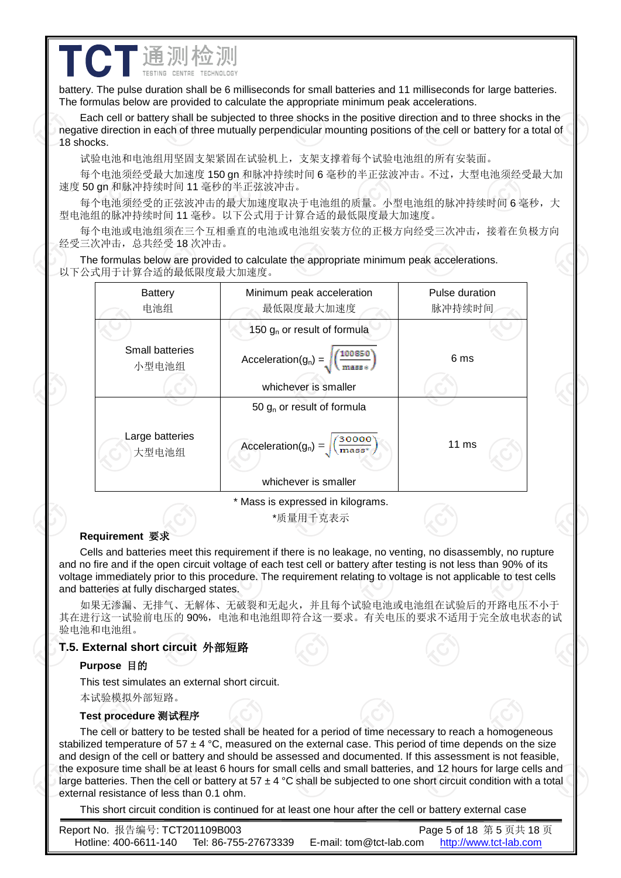battery. The pulse duration shall be 6 milliseconds for small batteries and 11 milliseconds for large batteries. The formulas below are provided to calculate the appropriate minimum peak accelerations.

Each cell or battery shall be subjected to three shocks in the positive direction and to three shocks in the negative direction in each of three mutually perpendicular mounting positions of the cell or battery for a total of 18 shocks.

试验电池和电池组用坚固支架紧固在试验机上,支架支撑着每个试验电池组的所有安装面。

 $\overline{a}$ 

**TCT**通测检测

每个电池须经受最大加速度 150 gn 和脉冲持续时间 6 毫秒的半正弦波冲击。不过,大型电池须经受最大加 速度 50 gn 和脉冲持续时间 11 毫秒的半正弦波冲击。

每个电池须经受的正弦波冲击的最大加速度取决于电池组的质量。小型电池组的脉冲持续时间 6 毫秒,大 型电池组的脉冲持续时间 11 毫秒。以下公式用于计算合适的最低限度最大加速度。

每个电池或电池组须在三个互相垂直的电池或电池组安装方位的正极方向经受三次冲击,接着在负极方向 经受三次冲击,总共经受 18 次冲击。

The formulas below are provided to calculate the appropriate minimum peak accelerations. 以下公式用于计算合适的最低限度最大加速度。



\*质量用千克表示

#### **Requirement** 要求

Cells and batteries meet this requirement if there is no leakage, no venting, no disassembly, no rupture and no fire and if the open circuit voltage of each test cell or battery after testing is not less than 90% of its voltage immediately prior to this procedure. The requirement relating to voltage is not applicable to test cells and batteries at fully discharged states.

如果无渗漏、无排气、无解体、无破裂和无起火,并且每个试验电池或电池组在试验后的开路电压不小于 其在进行这一试验前电压的 90%,电池和电池组即符合这一要求。有关电压的要求不适用于完全放电状态的试 验电池和电池组。

#### **T.5. External short circuit** 外部短路

#### **Purpose** 目的

This test simulates an external short circuit. 本试验模拟外部短路。

#### **Test procedure** 测试程序

The cell or battery to be tested shall be heated for a period of time necessary to reach a homogeneous stabilized temperature of 57  $\pm$  4 °C, measured on the external case. This period of time depends on the size and design of the cell or battery and should be assessed and documented. If this assessment is not feasible, the exposure time shall be at least 6 hours for small cells and small batteries, and 12 hours for large cells and large batteries. Then the cell or battery at 57  $\pm$  4 °C shall be subjected to one short circuit condition with a total external resistance of less than 0.1 ohm.

This short circuit condition is continued for at least one hour after the cell or battery external case

Report No. 报告编号: TCT201109B003 Page 5 of 18 第 5 页共 18 页 Hotline: 400-6611-140 Tel: 86-755-27673339 E-mail: tom@tct-lab.com http://www.tct-lab.com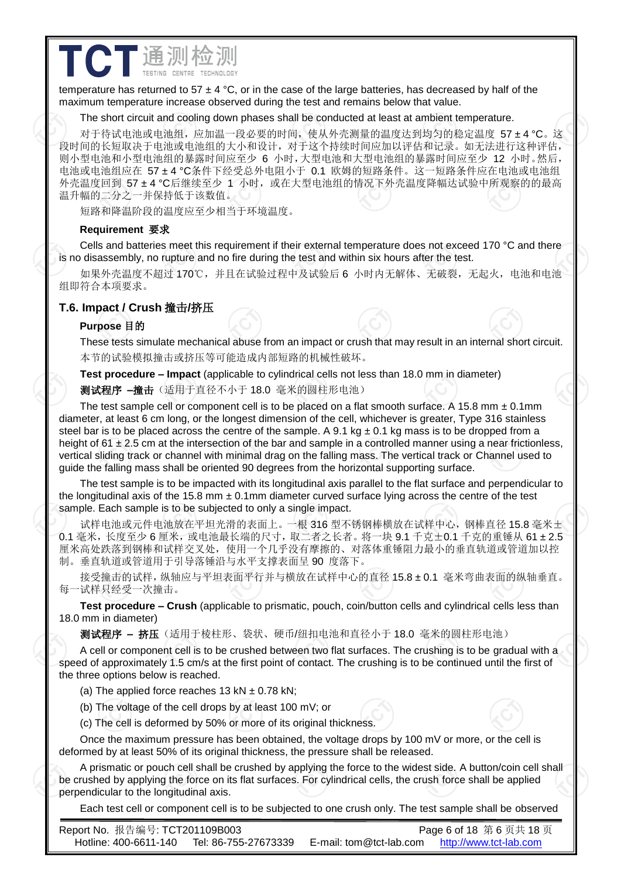temperature has returned to 57  $\pm$  4 °C, or in the case of the large batteries, has decreased by half of the maximum temperature increase observed during the test and remains below that value.

 $\overline{a}$ 

#### The short circuit and cooling down phases shall be conducted at least at ambient temperature.

对于待试电池或电池组,应加温一段必要的时间,使从外壳测量的温度达到均匀的稳定温度 57 ± 4 ℃。这 段时间的长短取决于电池或电池组的大小和设计,对于这个持续时间应加以评估和记录。如无法进行这种评估, 则小型电池和小型电池组的暴露时间应至少 6 小时,大型电池和大型电池组的暴露时间应至少 12 小时。然后, 电池或电池组应在 57 ±4 °C条件下经受总外电阻小于 0.1 欧姆的短路条件。这一短路条件应在电池或电池组 外壳温度回到 57 ± 4 °C后继续至少 1 小时,或在大型电池组的情况下外壳温度降幅达试验中所观察的的最高 温升幅的二分之一并保持低于该数值。

短路和降温阶段的温度应至少相当于环境温度。

## **Requirement** 要求

**TCT** 通测检测

Cells and batteries meet this requirement if their external temperature does not exceed 170 °C and there is no disassembly, no rupture and no fire during the test and within six hours after the test.

如果外壳温度不超过 170℃,并且在试验过程中及试验后 6 小时内无解体、无破裂,无起火, 电池和电池 组即符合本项要求。

# **T.6. Impact / Crush** 撞击**/**挤压

## **Purpose** 目的

These tests simulate mechanical abuse from an impact or crush that may result in an internal short circuit. 本节的试验模拟撞击或挤压等可能造成内部短路的机械性破坏。

**Test procedure – Impact** (applicable to cylindrical cells not less than 18.0 mm in diameter)

测试程序 **–**撞击(适用于直径不小于 18.0 毫米的圆柱形电池)

The test sample cell or component cell is to be placed on a flat smooth surface. A 15.8 mm  $\pm$  0.1mm diameter, at least 6 cm long, or the longest dimension of the cell, whichever is greater. Type 316 stainless steel bar is to be placed across the centre of the sample. A 9.1 kg  $\pm$  0.1 kg mass is to be dropped from a height of  $61 \pm 2.5$  cm at the intersection of the bar and sample in a controlled manner using a near frictionless, vertical sliding track or channel with minimal drag on the falling mass. The vertical track or Channel used to guide the falling mass shall be oriented 90 degrees from the horizontal supporting surface.

The test sample is to be impacted with its longitudinal axis parallel to the flat surface and perpendicular to the longitudinal axis of the 15.8 mm  $\pm$  0.1mm diameter curved surface lying across the centre of the test sample. Each sample is to be subjected to only a single impact.

试样电池或元件电池放在平坦光滑的表面上。一根 316 型不锈钢棒横放在试样中心,钢棒直径 15.8 毫米± 0.1 毫米,长度至少 6 厘米,或电池最长端的尺寸, 取二者之长者。将一块 9.1 千克士0.1 千克的重锤从 61 ± 2.5 厘米高处跌落到钢棒和试样交叉处,使用一个几乎没有摩擦的、对落体重锤阻力最小的垂直轨道或管道加以控 制。垂直轨道或管道用于引导落锤沿与水平支撑表面呈 90 度落下。

接受撞击的试样,纵轴应与平坦表面平行并与横放在试样中心的直径 15.8 ± 0.1 毫米弯曲表面的纵轴垂直。 每一试样只经受一次撞击。

**Test procedure – Crush** (applicable to prismatic, pouch, coin/button cells and cylindrical cells less than 18.0 mm in diameter)

测试程序 **–** 挤压(适用于棱柱形、袋状、硬币/纽扣电池和直径小于 18.0 毫米的圆柱形电池)

A cell or component cell is to be crushed between two flat surfaces. The crushing is to be gradual with a speed of approximately 1.5 cm/s at the first point of contact. The crushing is to be continued until the first of the three options below is reached.

(a) The applied force reaches 13 kN  $\pm$  0.78 kN;

- (b) The voltage of the cell drops by at least 100 mV; or
- (c) The cell is deformed by 50% or more of its original thickness.

Once the maximum pressure has been obtained, the voltage drops by 100 mV or more, or the cell is deformed by at least 50% of its original thickness, the pressure shall be released.

A prismatic or pouch cell shall be crushed by applying the force to the widest side. A button/coin cell shall be crushed by applying the force on its flat surfaces. For cylindrical cells, the crush force shall be applied perpendicular to the longitudinal axis.

Each test cell or component cell is to be subjected to one crush only. The test sample shall be observed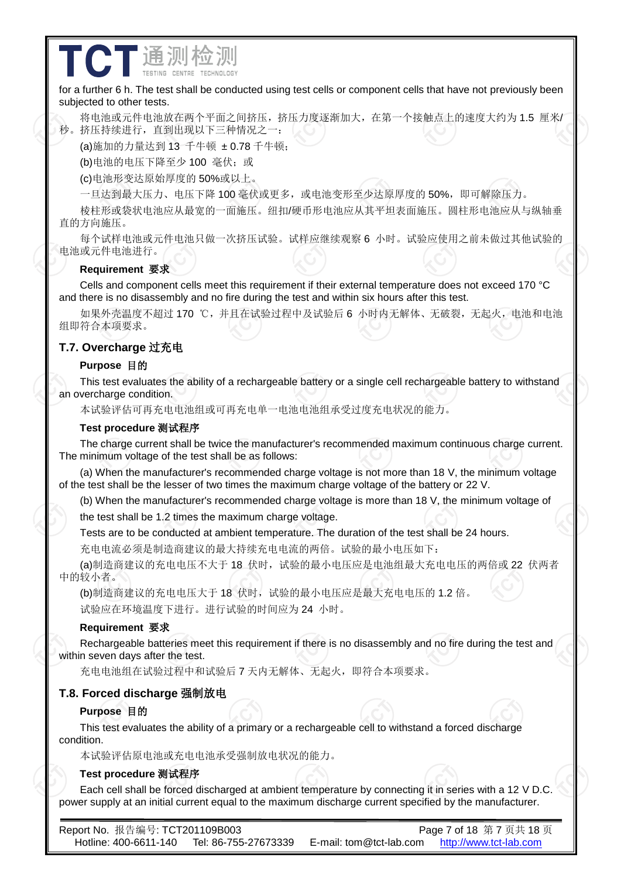for a further 6 h. The test shall be conducted using test cells or component cells that have not previously been subjected to other tests.

将电池或元件电池放在两个平面之间挤压,挤压力度逐渐加大,在第一个接触点上的速度大约为 1.5 厘米/ 秒。挤压持续进行,直到出现以下三种情况之一:

(a)施加的力量达到 13 千牛顿 ±0.78 千牛顿;

 $\overline{a}$ 

(b)电池的电压下降至少 100 毫伏;或

CT通测检

(c)电池形变达原始厚度的 50%或以上。

一旦达到最大压力、电压下降 100 毫伏或更多,或电池变形至少达原厚度的 50%,即可解除压力。

棱柱形或袋状电池应从最宽的一面施压。纽扣/硬币形电池应从其平坦表面施压。圆柱形电池应从与纵轴垂 直的方向施压。

每个试样电池或元件电池只做一次挤压试验。试样应继续观察 6 小时。试验应使用之前未做过其他试验的 电池或元件电池进行。

#### **Requirement** 要求

Cells and component cells meet this requirement if their external temperature does not exceed 170 °C and there is no disassembly and no fire during the test and within six hours after this test.

如果外壳温度不超过170 ℃,并且在试验过程中及试验后 6 小时内无解体、无破裂,无起火,电池和电池 组即符合本项要求。

### **T.7. Overcharge** 过充电

#### **Purpose** 目的

This test evaluates the ability of a rechargeable battery or a single cell rechargeable battery to withstand an overcharge condition.

本试验评估可再充电电池组或可再充电单一电池电池组承受过度充电状况的能力。

#### **Test procedure** 测试程序

The charge current shall be twice the manufacturer's recommended maximum continuous charge current. The minimum voltage of the test shall be as follows:

(a) When the manufacturer's recommended charge voltage is not more than 18 V, the minimum voltage of the test shall be the lesser of two times the maximum charge voltage of the battery or 22 V.

(b) When the manufacturer's recommended charge voltage is more than 18 V, the minimum voltage of

the test shall be 1.2 times the maximum charge voltage.

Tests are to be conducted at ambient temperature. The duration of the test shall be 24 hours.

充电电流必须是制造商建议的最大持续充电电流的两倍。试验的最小电压如下:

(a)制造商建议的充电电压不大于 18 伏时,试验的最小电压应是电池组最大充电电压的两倍或 22 伏两者 中的较小者。

(b)制造商建议的充电电压大于 18 伏时,试验的最小电压应是最大充电电压的 1.2 倍。 试验应在环境温度下进行。进行试验的时间应为 24 小时。

#### **Requirement** 要求

Rechargeable batteries meet this requirement if there is no disassembly and no fire during the test and within seven days after the test.

充电电池组在试验过程中和试验后 7 天内无解体、无起火,即符合本项要求。

#### **T.8. Forced discharge** 强制放电

#### **Purpose** 目的

This test evaluates the ability of a primary or a rechargeable cell to withstand a forced discharge condition.

本试验评估原电池或充电电池承受强制放电状况的能力。

#### **Test procedure** 测试程序

Each cell shall be forced discharged at ambient temperature by connecting it in series with a 12 V D.C. power supply at an initial current equal to the maximum discharge current specified by the manufacturer.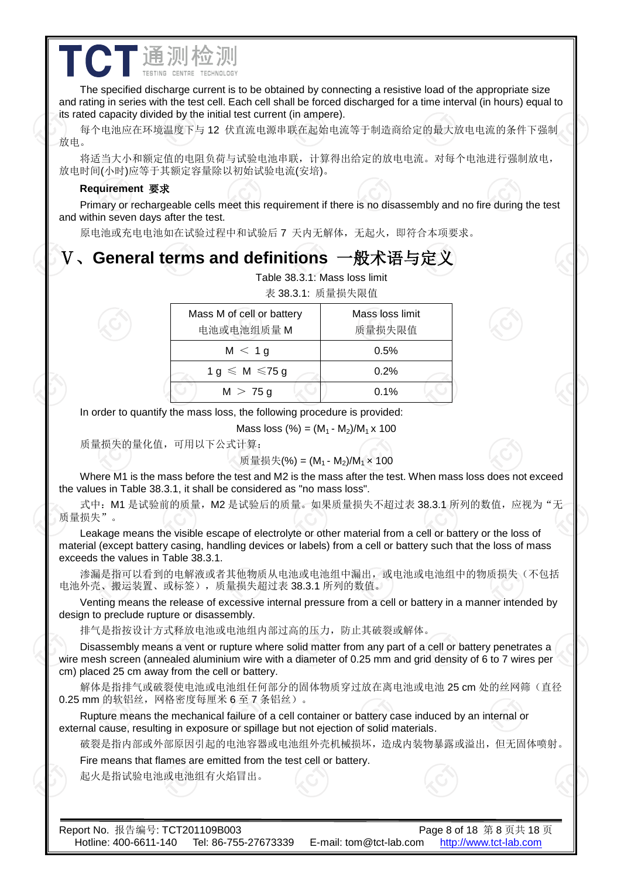## The specified discharge current is to be obtained by connecting a resistive load of the appropriate size and rating in series with the test cell. Each cell shall be forced discharged for a time interval (in hours) equal to its rated capacity divided by the initial test current (in ampere).

每个电池应在环境温度下与 12 伏直流电源串联在起始电流等于制造商给定的最大放电电流的条件下强制 放电。

将适当大小和额定值的电阻负荷与试验电池串联,计算得出给定的放电电流。对每个电池进行强制放电, 放电时间(小时)应等于其额定容量除以初始试验电流(安培)。

#### **Requirement** 要求

**CT** 通测检测

Primary or rechargeable cells meet this requirement if there is no disassembly and no fire during the test and within seven days after the test.

原电池或充电电池如在试验过程中和试验后 7 天内无解体,无起火,即符合本项要求。

# Ⅴ、**General terms and definitions** 一般术语与定义

 $\overline{a}$ 

|                                         | Table 38.3.1: Mass loss limit<br>表 38.3.1: 质量损失限值 |
|-----------------------------------------|---------------------------------------------------|
| Mass M of cell or battery<br>电池或电池组质量 M | Mass loss limit<br>质量损失限值                         |
| M < 1g                                  | 0.5%                                              |
| $1 g \leqslant M \leqslant 75 g$        | 0.2%                                              |
| $M > 75$ a                              | 0.1%                                              |

In order to quantify the mass loss, the following procedure is provided:

Mass loss  $(\%)=(M_1 - M_2)/M_1 \times 100$ 

质量损失的量化值,可用以下公式计算:

#### 质量损失(%) =  $(M_1 - M_2)/M_1 \times 100$

Where M1 is the mass before the test and M2 is the mass after the test. When mass loss does not exceed the values in Table 38.3.1, it shall be considered as "no mass loss".

式中: M1 是试验前的质量, M2 是试验后的质量。如果质量损失不超过表 38.3.1 所列的数值, 应视为"无 质量损失"。

Leakage means the visible escape of electrolyte or other material from a cell or battery or the loss of material (except battery casing, handling devices or labels) from a cell or battery such that the loss of mass exceeds the values in Table 38.3.1.

渗漏是指可以看到的电解液或者其他物质从电池或电池组中漏出,或电池或电池组中的物质损失(不包括 电池外壳、搬运装置、或标签),质量损失超过表 38.3.1 所列的数值。

Venting means the release of excessive internal pressure from a cell or battery in a manner intended by design to preclude rupture or disassembly.

排气是指按设计方式释放电池或电池组内部过高的压力,防止其破裂或解体。

Disassembly means a vent or rupture where solid matter from any part of a cell or battery penetrates a wire mesh screen (annealed aluminium wire with a diameter of 0.25 mm and grid density of 6 to 7 wires per cm) placed 25 cm away from the cell or battery.

解体是指排气或破裂使电池或电池组任何部分的固体物质穿过放在离电池或电池 25 cm 处的丝网筛(直径 0.25 mm 的软铝丝,网格密度每厘米 6 至 7 条铝丝)。

Rupture means the mechanical failure of a cell container or battery case induced by an internal or external cause, resulting in exposure or spillage but not ejection of solid materials.

破裂是指内部或外部原因引起的电池容器或电池组外壳机械损坏,造成内装物暴露或溢出,但无固体喷射。

Fire means that flames are emitted from the test cell or battery.

起火是指试验电池或电池组有火焰冒出。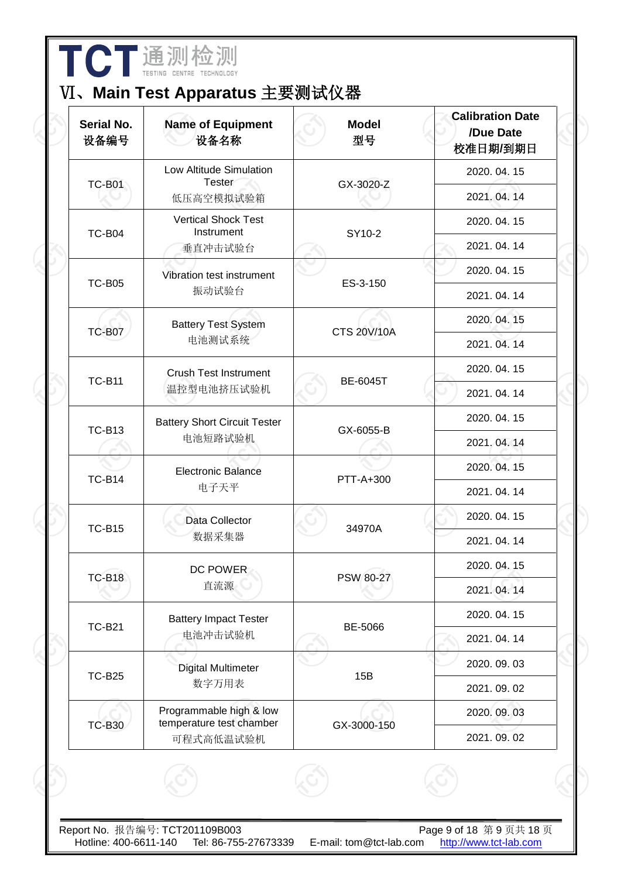|                           | 通测检测 |  |
|---------------------------|------|--|
| TESTING CENTRE TECHNOLOGY |      |  |

# Ⅵ、**Main Test Apparatus** 主要测试仪器

| <b>Serial No.</b><br>设备编号 | <b>Name of Equipment</b><br>设备名称                    | <b>Model</b><br>型号 | <b>Calibration Date</b><br>/Due Date<br>校准日期/到期日 |
|---------------------------|-----------------------------------------------------|--------------------|--------------------------------------------------|
| <b>TC-B01</b>             | Low Altitude Simulation<br><b>Tester</b>            | GX-3020-Z          | 2020.04.15                                       |
|                           | 低压高空模拟试验箱                                           |                    | 2021.04.14                                       |
| <b>TC-B04</b>             | <b>Vertical Shock Test</b><br>Instrument            | SY10-2             | 2020.04.15                                       |
|                           | 垂直冲击试验台                                             |                    | 2021.04.14                                       |
| <b>TC-B05</b>             | Vibration test instrument                           | ES-3-150           | 2020.04.15                                       |
|                           | 振动试验台                                               |                    | 2021.04.14                                       |
| <b>TC-B07</b>             | <b>Battery Test System</b><br>电池测试系统                | <b>CTS 20V/10A</b> | 2020.04.15                                       |
|                           |                                                     |                    | 2021.04.14                                       |
| <b>TC-B11</b>             | <b>Crush Test Instrument</b>                        | <b>BE-6045T</b>    | 2020.04.15                                       |
|                           | 温控型电池挤压试验机                                          |                    | 2021.04.14                                       |
| <b>TC-B13</b>             | <b>Battery Short Circuit Tester</b>                 | GX-6055-B          | 2020.04.15                                       |
|                           | 电池短路试验机                                             |                    | 2021.04.14                                       |
| <b>TC-B14</b>             | <b>Electronic Balance</b>                           | PTT-A+300          | 2020.04.15                                       |
|                           | 电子天平                                                |                    | 2021.04.14                                       |
| <b>TC-B15</b>             | Data Collector                                      | 34970A             | 2020.04.15                                       |
|                           | 数据采集器                                               |                    | 2021.04.14                                       |
| <b>TC-B18</b>             | DC POWER                                            | <b>PSW 80-27</b>   | 2020.04.15                                       |
|                           | 直流源                                                 |                    | 2021.04.14                                       |
| <b>TC-B21</b>             | <b>Battery Impact Tester</b>                        | BE-5066            | 2020.04.15                                       |
|                           | 电池冲击试验机                                             |                    | 2021.04.14                                       |
| <b>TC-B25</b>             | Digital Multimeter                                  | 15B                | 2020.09.03                                       |
|                           | 数字万用表                                               |                    | 2021.09.02                                       |
| <b>TC-B30</b>             | Programmable high & low<br>temperature test chamber | GX-3000-150        | 2020.09.03                                       |
|                           | 可程式高低温试验机                                           |                    | 2021.09.02                                       |
|                           |                                                     |                    |                                                  |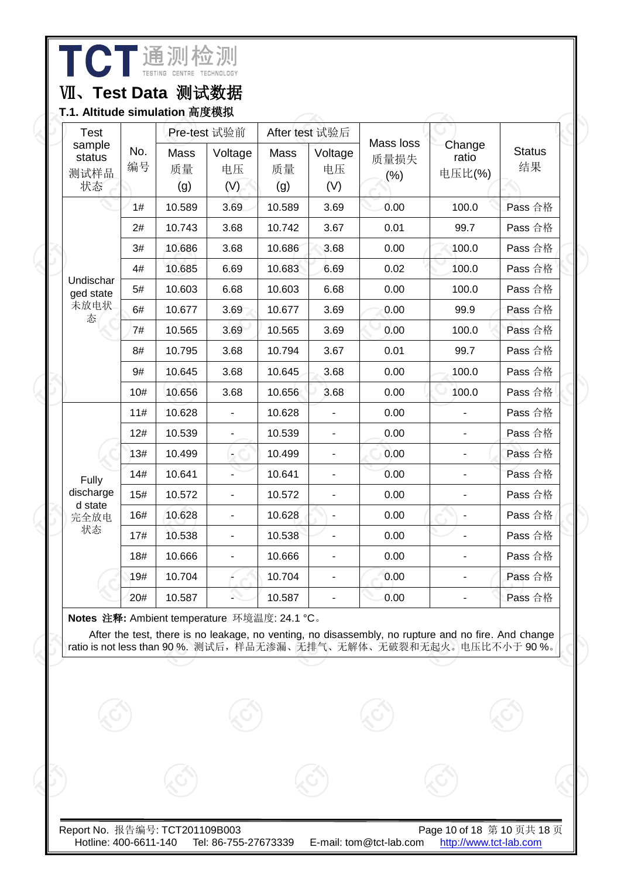**TCT** 通测检测

# Ⅶ、**Test Data** 测试数据

**T.1. Altitude simulation** 高度模拟

| <b>Test</b>                    |           |                   | Pre-test 试验前         |                   | After test 试验后       |                          |                           |                     |
|--------------------------------|-----------|-------------------|----------------------|-------------------|----------------------|--------------------------|---------------------------|---------------------|
| sample<br>status<br>测试样品<br>状态 | No.<br>编号 | Mass<br>质量<br>(g) | Voltage<br>电压<br>(V) | Mass<br>质量<br>(g) | Voltage<br>电压<br>(V) | Mass loss<br>质量损失<br>(%) | Change<br>ratio<br>电压比(%) | <b>Status</b><br>结果 |
|                                | 1#        | 10.589            | 3.69                 | 10.589            | 3.69                 | 0.00                     | 100.0                     | Pass 合格             |
|                                | 2#        | 10.743            | 3.68                 | 10.742            | 3.67                 | 0.01                     | 99.7                      | Pass 合格             |
|                                | 3#        | 10.686            | 3.68                 | 10.686            | 3.68                 | 0.00                     | 100.0                     | Pass 合格             |
|                                | 4#        | 10.685            | 6.69                 | 10.683            | 6.69                 | 0.02                     | 100.0                     | Pass 合格             |
| Undischar<br>ged state         | 5#        | 10.603            | 6.68                 | 10.603            | 6.68                 | 0.00                     | 100.0                     | Pass 合格             |
| 未放电状<br>态                      | 6#        | 10.677            | 3.69                 | 10.677            | 3.69                 | 0.00                     | 99.9                      | Pass 合格             |
|                                | 7#        | 10.565            | 3.69                 | 10.565            | 3.69                 | 0.00                     | 100.0                     | Pass 合格             |
|                                | 8#        | 10.795            | 3.68                 | 10.794            | 3.67                 | 0.01                     | 99.7                      | Pass 合格             |
|                                | 9#        | 10.645            | 3.68                 | 10.645            | 3.68                 | 0.00                     | 100.0                     | Pass 合格             |
|                                | 10#       | 10.656            | 3.68                 | 10.656            | 3.68                 | 0.00                     | 100.0                     | Pass 合格             |
|                                | 11#       | 10.628            |                      | 10.628            |                      | 0.00                     |                           | Pass 合格             |
|                                | 12#       | 10.539            |                      | 10.539            |                      | 0.00                     |                           | Pass 合格             |
|                                | 13#       | 10.499            | $\blacksquare$       | 10.499            | $\blacksquare$       | 0.00                     |                           | Pass 合格             |
| Fully                          | 14#       | 10.641            |                      | 10.641            |                      | 0.00                     |                           | Pass 合格             |
| discharge                      | 15#       | 10.572            |                      | 10.572            | $\blacksquare$       | 0.00                     |                           | Pass 合格             |
| d state<br>完全放电                | 16#       | 10.628            |                      | 10.628            |                      | 0.00                     |                           | Pass 合格             |
| 状态                             | 17#       | 10.538            |                      | 10.538            |                      | 0.00                     |                           | Pass 合格             |
|                                | 18#       | 10.666            | $\overline{a}$       | 10.666            | $\blacksquare$       | 0.00                     |                           | Pass 合格             |
|                                | 19#       | 10.704            |                      | 10.704            |                      | 0.00                     |                           | Pass 合格             |
|                                | 20#       | 10.587            |                      | 10.587            |                      | 0.00                     |                           | Pass 合格             |

**Notes** 注释**:** Ambient temperature 环境温度: 24.1 °C。

After the test, there is no leakage, no venting, no disassembly, no rupture and no fire. And change ratio is not less than 90 %. 测试后,样品无渗漏、无排气、无解体、无破裂和无起火。电压比不小于 90 %。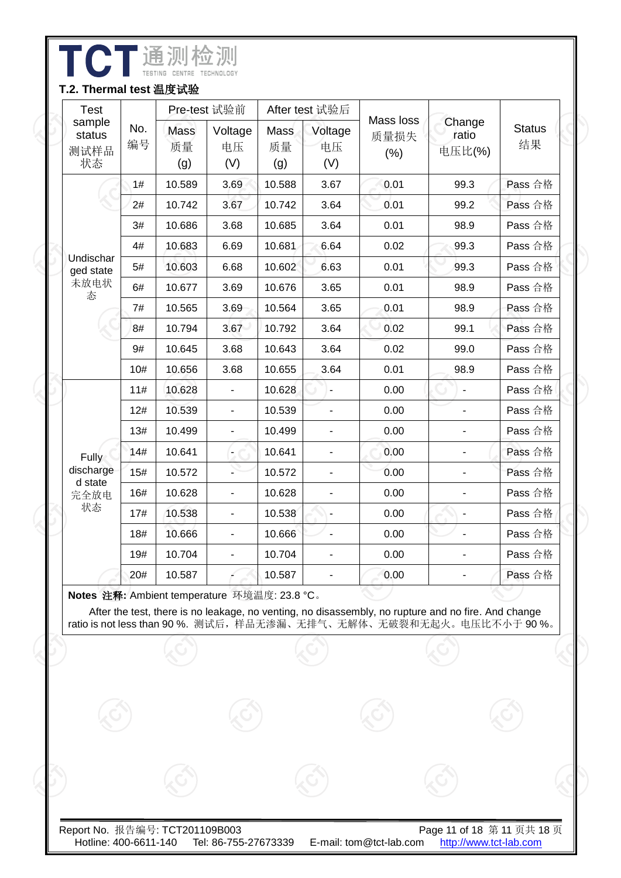| <b>Test</b><br>sample<br>No.<br>status<br>编号<br>测试样品<br>状态 |     |                   | Pre-test 试验前                 |                   | After test 试验后           |                           |                           |                     |
|------------------------------------------------------------|-----|-------------------|------------------------------|-------------------|--------------------------|---------------------------|---------------------------|---------------------|
|                                                            |     | Mass<br>质量<br>(g) | Voltage<br>电压<br>(V)         | Mass<br>质量<br>(g) | Voltage<br>电压<br>(V)     | Mass loss<br>质量损失<br>(% ) | Change<br>ratio<br>电压比(%) | <b>Status</b><br>结果 |
|                                                            | 1#  | 10.589            | 3.69                         | 10.588            | 3.67                     | 0.01                      | 99.3                      | Pass 合格             |
|                                                            | 2#  | 10.742            | 3.67                         | 10.742            | 3.64                     | 0.01                      | 99.2                      | Pass 合格             |
|                                                            | 3#  | 10.686            | 3.68                         | 10.685            | 3.64                     | 0.01                      | 98.9                      | Pass 合格             |
|                                                            | 4#  | 10.683            | 6.69                         | 10.681            | 6.64                     | 0.02                      | 99.3                      | Pass 合格             |
| Undischar<br>ged state                                     | 5#  | 10.603            | 6.68                         | 10.602            | 6.63                     | 0.01                      | 99.3                      | Pass 合格             |
| 未放电状<br>态                                                  | 6#  | 10.677            | 3.69                         | 10.676            | 3.65                     | 0.01                      | 98.9                      | Pass 合格             |
|                                                            | 7#  | 10.565            | 3.69                         | 10.564            | 3.65                     | 0.01                      | 98.9                      | Pass 合格             |
|                                                            | 8#  | 10.794            | 3.67                         | 10.792            | 3.64                     | 0.02                      | 99.1                      | Pass 合格             |
|                                                            | 9#  | 10.645            | 3.68                         | 10.643            | 3.64                     | 0.02                      | 99.0                      | Pass 合格             |
|                                                            | 10# | 10.656            | 3.68                         | 10.655            | 3.64                     | 0.01                      | 98.9                      | Pass 合格             |
|                                                            | 11# | 10.628            |                              | 10.628            |                          | 0.00                      |                           | Pass 合格             |
|                                                            | 12# | 10.539            | $\overline{\phantom{a}}$     | 10.539            | $\blacksquare$           | 0.00                      |                           | Pass 合格             |
|                                                            | 13# | 10.499            | $\qquad \qquad \blacksquare$ | 10.499            | $\overline{\phantom{a}}$ | 0.00                      |                           | Pass 合格             |
| <b>Fully</b>                                               | 14# | 10.641            | $\overline{\phantom{0}}$     | 10.641            | $\overline{\phantom{0}}$ | 0.00                      |                           | Pass 合格             |
| discharge                                                  | 15# | 10.572            |                              | 10.572            |                          | 0.00                      |                           | Pass 合格             |
| d state<br>完全放电                                            | 16# | 10.628            |                              | 10.628            |                          | 0.00                      |                           | Pass 合格             |
| 状态                                                         | 17# | 10.538            |                              | 10.538            |                          | 0.00                      |                           | Pass 合格             |
|                                                            | 18# | 10.666            |                              | 10.666            |                          | 0.00                      |                           | Pass 合格             |
|                                                            | 19# | 10.704            |                              | 10.704            |                          | 0.00                      |                           | Pass 合格             |
|                                                            | 20# | 10.587            |                              | 10.587            |                          | 0.00                      |                           | Pass 合格             |

I

After the test, there is no leakage, no venting, no disassembly, no rupture and no fire. And change ratio is not less than 90 %. 测试后,样品无渗漏、无排气、无解体、无破裂和无起火。电压比不小于 90 %。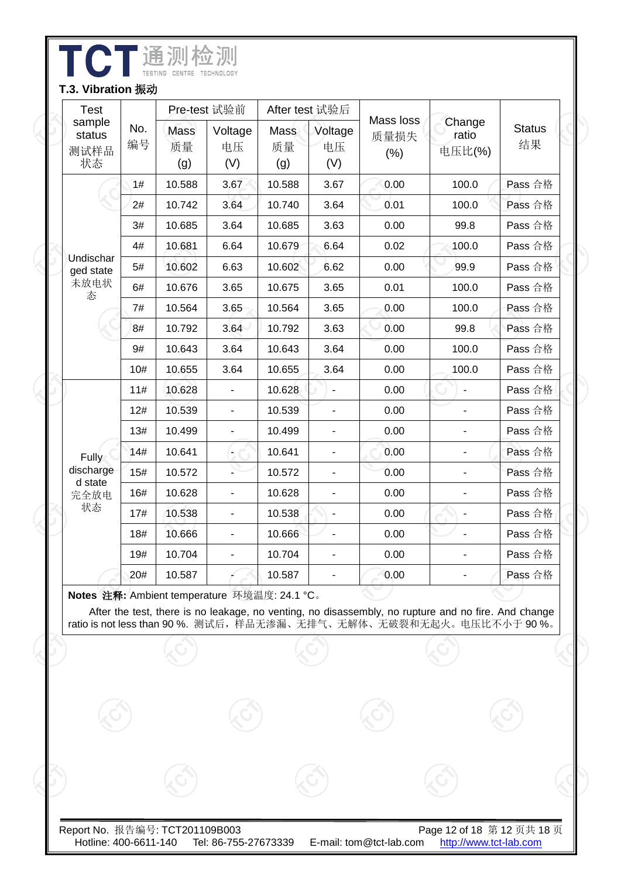| <b>Test</b><br>sample<br>No.<br>status<br>编号<br>测试样品<br>状态 |     |                   | Pre-test 试验前                 |                   | After test 试验后               |                           |                           |                     |
|------------------------------------------------------------|-----|-------------------|------------------------------|-------------------|------------------------------|---------------------------|---------------------------|---------------------|
|                                                            |     | Mass<br>质量<br>(g) | Voltage<br>电压<br>(V)         | Mass<br>质量<br>(g) | Voltage<br>电压<br>(V)         | Mass loss<br>质量损失<br>(% ) | Change<br>ratio<br>电压比(%) | <b>Status</b><br>结果 |
|                                                            | 1#  | 10.588            | 3.67                         | 10.588            | 3.67                         | 0.00                      | 100.0                     | Pass 合格             |
|                                                            | 2#  | 10.742            | 3.64                         | 10.740            | 3.64                         | 0.01                      | 100.0                     | Pass 合格             |
|                                                            | 3#  | 10.685            | 3.64                         | 10.685            | 3.63                         | 0.00                      | 99.8                      | Pass 合格             |
|                                                            | 4#  | 10.681            | 6.64                         | 10.679            | 6.64                         | 0.02                      | 100.0                     | Pass 合格             |
| Undischar<br>ged state                                     | 5#  | 10.602            | 6.63                         | 10.602            | 6.62                         | 0.00                      | 99.9                      | Pass 合格             |
| 未放电状<br>态                                                  | 6#  | 10.676            | 3.65                         | 10.675            | 3.65                         | 0.01                      | 100.0                     | Pass 合格             |
|                                                            | 7#  | 10.564            | 3.65                         | 10.564            | 3.65                         | 0.00                      | 100.0                     | Pass 合格             |
|                                                            | 8#  | 10.792            | 3.64                         | 10.792            | 3.63                         | 0.00                      | 99.8                      | Pass 合格             |
|                                                            | 9#  | 10.643            | 3.64                         | 10.643            | 3.64                         | 0.00                      | 100.0                     | Pass 合格             |
|                                                            | 10# | 10.655            | 3.64                         | 10.655            | 3.64                         | 0.00                      | 100.0                     | Pass 合格             |
|                                                            | 11# | 10.628            |                              | 10.628            |                              | 0.00                      |                           | Pass 合格             |
|                                                            | 12# | 10.539            | $\qquad \qquad \blacksquare$ | 10.539            | $\overline{\phantom{0}}$     | 0.00                      |                           | Pass 合格             |
|                                                            | 13# | 10.499            | $\frac{1}{2}$                | 10.499            | $\overline{\phantom{0}}$     | 0.00                      |                           | Pass 合格             |
| <b>Fully</b>                                               | 14# | 10.641            | $\overline{\phantom{0}}$     | 10.641            | $\overline{\phantom{0}}$     | 0.00                      |                           | Pass 合格             |
| discharge                                                  | 15# | 10.572            |                              | 10.572            |                              | 0.00                      |                           | Pass 合格             |
| d state<br>完全放电                                            | 16# | 10.628            |                              | 10.628            | $\qquad \qquad \blacksquare$ | 0.00                      |                           | Pass 合格             |
| 状态                                                         | 17# | 10.538            | $\overline{a}$               | 10.538            | $\qquad \qquad \blacksquare$ | 0.00                      |                           | Pass 合格             |
|                                                            | 18# | 10.666            |                              | 10.666            |                              | 0.00                      |                           | Pass 合格             |
|                                                            | 19# | 10.704            | -                            | 10.704            | -                            | 0.00                      |                           | Pass 合格             |
|                                                            | 20# | 10.587            |                              | 10.587            | -                            | 0.00                      | $\overline{\phantom{a}}$  | Pass 合格             |

After the test, there is no leakage, no venting, no disassembly, no rupture and no fire. And change

ratio is not less than 90 %. 测试后,样品无渗漏、无排气、无解体、无破裂和无起火。电压比不小于 90 %。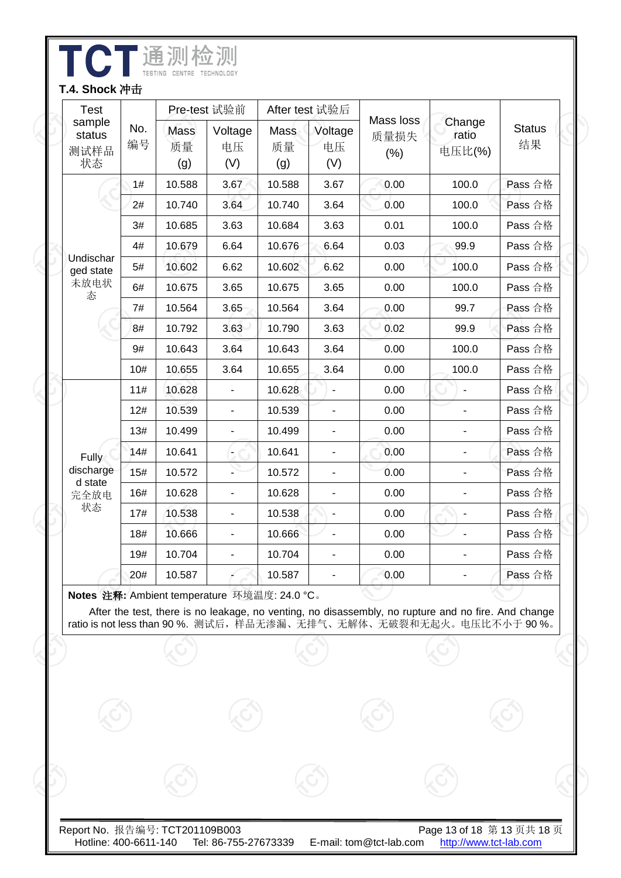| <b>Test</b>                                 |     |                          | Pre-test 试验前             |                   | After test 试验后           |                           |                           |                     |
|---------------------------------------------|-----|--------------------------|--------------------------|-------------------|--------------------------|---------------------------|---------------------------|---------------------|
| sample<br>No.<br>status<br>编号<br>测试样品<br>状态 |     | <b>Mass</b><br>质量<br>(g) | Voltage<br>电压<br>(V)     | Mass<br>质量<br>(g) | Voltage<br>电压<br>(V)     | Mass loss<br>质量损失<br>(% ) | Change<br>ratio<br>电压比(%) | <b>Status</b><br>结果 |
|                                             | 1#  | 10.588                   | 3.67                     | 10.588            | 3.67                     | 0.00                      | 100.0                     | Pass 合格             |
|                                             | 2#  | 10.740                   | 3.64                     | 10.740            | 3.64                     | 0.00                      | 100.0                     | Pass 合格             |
|                                             | 3#  | 10.685                   | 3.63                     | 10.684            | 3.63                     | 0.01                      | 100.0                     | Pass 合格             |
|                                             | 4#  | 10.679                   | 6.64                     | 10.676            | 6.64                     | 0.03                      | 99.9                      | Pass 合格             |
| Undischar<br>ged state                      | 5#  | 10.602                   | 6.62                     | 10.602            | 6.62                     | 0.00                      | 100.0                     | Pass 合格             |
| 未放电状<br>态                                   | 6#  | 10.675                   | 3.65                     | 10.675            | 3.65                     | 0.00                      | 100.0                     | Pass 合格             |
|                                             | 7#  | 10.564                   | 3.65                     | 10.564            | 3.64                     | 0.00                      | 99.7                      | Pass 合格             |
|                                             | 8#  | 10.792                   | 3.63                     | 10.790            | 3.63                     | 0.02                      | 99.9                      | Pass 合格             |
|                                             | 9#  | 10.643                   | 3.64                     | 10.643            | 3.64                     | 0.00                      | 100.0                     | Pass 合格             |
|                                             | 10# | 10.655                   | 3.64                     | 10.655            | 3.64                     | 0.00                      | 100.0                     | Pass 合格             |
|                                             | 11# | 10.628                   | $\overline{\phantom{0}}$ | 10.628            | $\blacksquare$           | 0.00                      |                           | Pass 合格             |
|                                             | 12# | 10.539                   | $\overline{a}$           | 10.539            | $\overline{\phantom{a}}$ | 0.00                      |                           | Pass 合格             |
|                                             | 13# | 10.499                   | ÷,                       | 10.499            | $\blacksquare$           | 0.00                      |                           | Pass 合格             |
| <b>Fully</b>                                | 14# | 10.641                   |                          | 10.641            | $\blacksquare$           | 0.00                      |                           | Pass 合格             |
| discharge<br>d state                        | 15# | 10.572                   |                          | 10.572            | $\blacksquare$           | 0.00                      |                           | Pass 合格             |
| 完全放电                                        | 16# | 10.628                   | ÷,                       | 10.628            |                          | 0.00                      |                           | Pass 合格             |
| 状态                                          | 17# | 10.538                   | $\overline{a}$           | 10.538            | $\blacksquare$           | 0.00                      |                           | Pass 合格             |
|                                             | 18# | 10.666                   | $\overline{a}$           | 10.666            | ä,                       | 0.00                      |                           | Pass 合格             |
|                                             | 19# | 10.704                   | $\blacksquare$           | 10.704            | $\blacksquare$           | 0.00                      |                           | Pass 合格             |
|                                             | 20# | 10.587                   |                          | 10.587            | $\blacksquare$           | 0.00                      |                           | Pass 合格             |

TATE THE MILES

After the test, there is no leakage, no venting, no disassembly, no rupture and no fire. And change ratio is not less than 90 %. 测试后,样品无渗漏、无排气、无解体、无破裂和无起火。电压比不小于 90 %。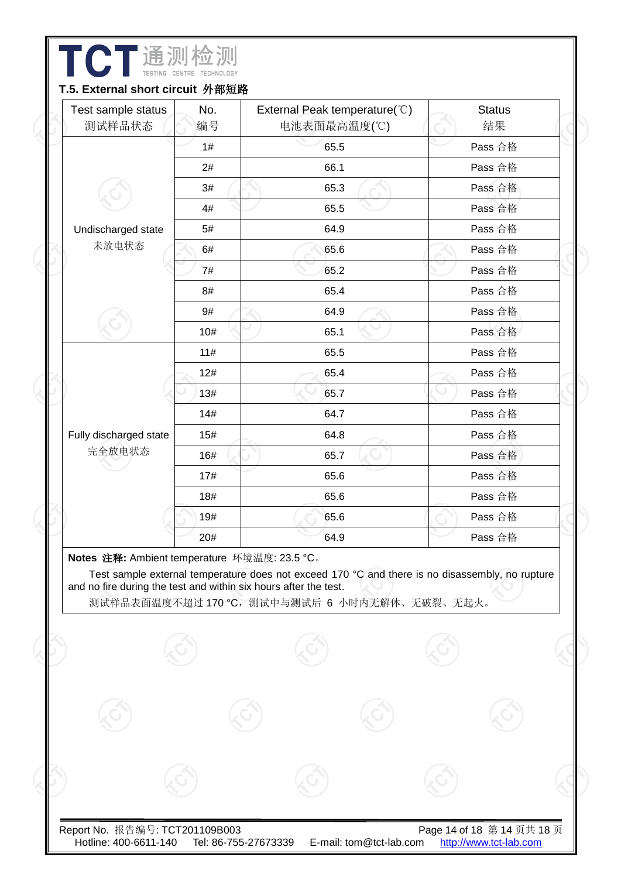| Test sample status<br>测试样品状态                                                                                     | No.<br>编号 | External Peak temperature(°C)<br>电池表面最高温度(℃)                                                                                                   | <b>Status</b><br>结果 |
|------------------------------------------------------------------------------------------------------------------|-----------|------------------------------------------------------------------------------------------------------------------------------------------------|---------------------|
|                                                                                                                  | 1#        | 65.5                                                                                                                                           | Pass 合格             |
|                                                                                                                  | 2#        | 66.1                                                                                                                                           | Pass 合格             |
|                                                                                                                  | 3#        | 65.3                                                                                                                                           | Pass 合格             |
|                                                                                                                  | 4#        | 65.5                                                                                                                                           | Pass 合格             |
| Undischarged state                                                                                               | 5#        | 64.9                                                                                                                                           | Pass 合格             |
| 未放电状态                                                                                                            | 6#        | 65.6                                                                                                                                           | Pass 合格             |
|                                                                                                                  | 7#        | 65.2                                                                                                                                           | Pass 合格             |
|                                                                                                                  | 8#        | 65.4                                                                                                                                           | Pass 合格             |
|                                                                                                                  | 9#        | 64.9                                                                                                                                           | Pass 合格             |
|                                                                                                                  | 10#       | 65.1                                                                                                                                           | Pass 合格             |
|                                                                                                                  | 11#       | 65.5                                                                                                                                           | Pass 合格             |
|                                                                                                                  | 12#       | 65.4                                                                                                                                           | Pass 合格             |
|                                                                                                                  | 13#       | 65.7                                                                                                                                           | Pass 合格             |
|                                                                                                                  | 14#       | 64.7                                                                                                                                           | Pass 合格             |
| Fully discharged state                                                                                           | 15#       | 64.8                                                                                                                                           | Pass 合格             |
| 完全放电状态                                                                                                           | 16#       | 65.7                                                                                                                                           | Pass 合格             |
|                                                                                                                  | 17#       | 65.6                                                                                                                                           | Pass 合格             |
|                                                                                                                  | 18#       | 65.6                                                                                                                                           | Pass 合格             |
|                                                                                                                  | 19#       | 65.6                                                                                                                                           | Pass 合格             |
|                                                                                                                  | 20#       | 64.9                                                                                                                                           | Pass 合格             |
| Notes 注释: Ambient temperature 环境温度: 23.5 °C。<br>and no fire during the test and within six hours after the test. |           | Test sample external temperature does not exceed 170 °C and there is no disassembly, no rupture<br>测试样品表面温度不超过170 ℃, 测试中与测试后 6 小时内无解体、无破裂、无起火。 |                     |
|                                                                                                                  |           |                                                                                                                                                |                     |
|                                                                                                                  |           |                                                                                                                                                |                     |

Б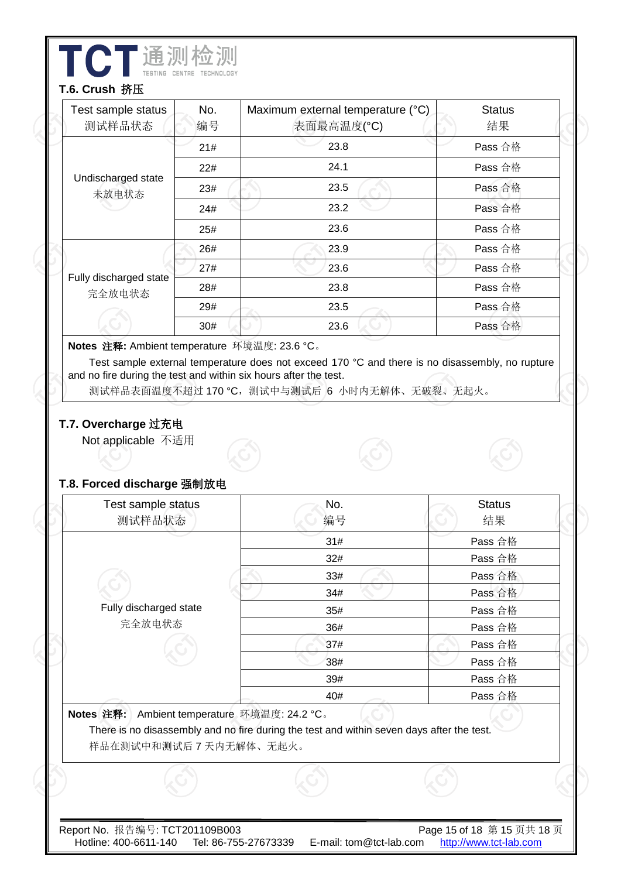| Test sample status<br>测试样品状态                     | No.<br>编号 | Maximum external temperature (°C)<br>表面最高温度(°C)                                                                                        | <b>Status</b><br>结果 |
|--------------------------------------------------|-----------|----------------------------------------------------------------------------------------------------------------------------------------|---------------------|
|                                                  | 21#       | 23.8                                                                                                                                   | Pass 合格             |
|                                                  | 22#       | 24.1                                                                                                                                   | Pass 合格             |
| Undischarged state<br>未放电状态                      | 23#       | 23.5                                                                                                                                   | Pass 合格             |
|                                                  | 24#       | 23.2                                                                                                                                   | Pass 合格             |
|                                                  | 25#       | 23.6                                                                                                                                   | Pass 合格             |
|                                                  | 26#       | 23.9                                                                                                                                   | Pass 合格             |
|                                                  | 27#       | 23.6                                                                                                                                   | Pass 合格             |
| Fully discharged state<br>完全放电状态                 | 28#       | 23.8                                                                                                                                   | Pass 合格             |
|                                                  | 29#       | 23.5                                                                                                                                   | Pass 合格             |
|                                                  | 30#       | 23.6                                                                                                                                   | Pass 合格             |
| T.7. Overcharge 过充电<br>Not applicable 不适用        |           | 测试样品表面温度不超过 170 °C, 测试中与测试后 6 小时内无解体、无破裂、无起火。                                                                                          |                     |
| T.8. Forced discharge 强制放电<br>Test sample status |           | No.                                                                                                                                    | <b>Status</b>       |
| 测试样品状态                                           |           | 编号                                                                                                                                     | 结果                  |
|                                                  |           | 31#                                                                                                                                    | Pass 合格             |
|                                                  |           | 32#<br>33#                                                                                                                             | Pass 合格             |
|                                                  |           | 34#                                                                                                                                    | Pass 合格<br>Pass 合格  |
| Fully discharged state                           |           | 35#                                                                                                                                    | Pass 合格             |
| 完全放电状态                                           |           | 36#                                                                                                                                    | Pass 合格             |
|                                                  |           | 37#                                                                                                                                    | Pass 合格             |
|                                                  |           | 38#                                                                                                                                    | Pass 合格             |
|                                                  |           | 39#                                                                                                                                    | Pass 合格             |
| Notes 注释:<br>样品在测试中和测试后7天内无解体、无起火。               |           | 40#<br>Ambient temperature 环境温度: 24.2 °C。<br>There is no disassembly and no fire during the test and within seven days after the test. | Pass 合格             |

I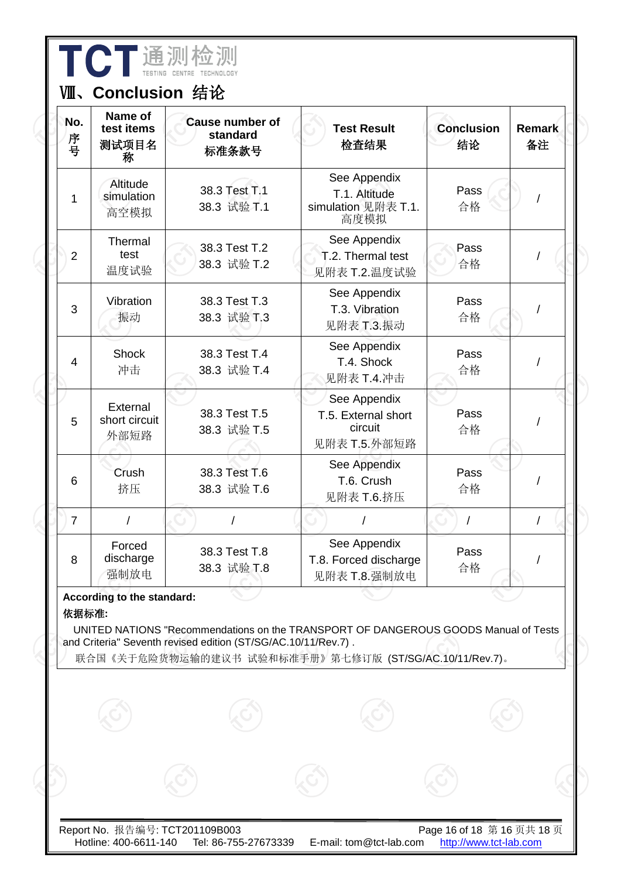| No.<br>序号      | Name of<br>test items<br>测试项目名<br>称 | <b>Cause number of</b><br>standard<br>标准条款号                   | <b>Test Result</b><br>检查结果                                                                                                                    | <b>Conclusion</b><br>结论 | <b>Remark</b><br>备注 |
|----------------|-------------------------------------|---------------------------------------------------------------|-----------------------------------------------------------------------------------------------------------------------------------------------|-------------------------|---------------------|
| 1              | Altitude<br>simulation<br>高空模拟      | 38.3 Test T.1<br>38.3 试验 T.1                                  | See Appendix<br>T.1. Altitude<br>simulation 见附表 T.1.<br>高度模拟                                                                                  | Pass<br>合格              |                     |
| $\overline{2}$ | Thermal<br>test<br>温度试验             | 38.3 Test T.2<br>38.3 试验 T.2                                  | See Appendix<br>T.2. Thermal test<br>见附表 T.2.温度试验                                                                                             | Pass<br>合格              |                     |
| 3              | Vibration<br>振动                     | 38.3 Test T.3<br>38.3 试验 T.3                                  | See Appendix<br>T.3. Vibration<br>见附表 T.3.振动                                                                                                  | Pass<br>合格              |                     |
| $\overline{4}$ | <b>Shock</b><br>冲击                  | 38.3 Test T.4<br>38.3 试验 T.4                                  | See Appendix<br>T.4. Shock<br>见附表 T.4.冲击                                                                                                      | Pass<br>合格              |                     |
| 5              | External<br>short circuit<br>外部短路   | 38.3 Test T.5<br>38.3 试验 T.5                                  | See Appendix<br>T.5. External short<br>circuit<br>见附表 T.5.外部短路                                                                                | Pass<br>合格              |                     |
| 6              | Crush<br>挤压                         | 38.3 Test T.6<br>38.3 试验 T.6                                  | See Appendix<br>T.6. Crush<br>见附表 T.6.挤压                                                                                                      | Pass<br>合格              |                     |
| $\overline{7}$ | $\prime$                            |                                                               |                                                                                                                                               |                         |                     |
| 8              | Forced<br>discharge<br>强制放电         | 38.3 Test T.8<br>38.3 试验 T.8                                  | See Appendix<br>T.8. Forced discharge<br>见附表 T.8.强制放电                                                                                         | Pass<br>合格              |                     |
| 依据标准:          | According to the standard:          | and Criteria" Seventh revised edition (ST/SG/AC.10/11/Rev.7). | UNITED NATIONS "Recommendations on the TRANSPORT OF DANGEROUS GOODS Manual of Tests<br>联合国《关于危险货物运输的建议书 试验和标准手册》第七修订版 (ST/SG/AC.10/11/Rev.7)。 |                         |                     |
|                |                                     |                                                               |                                                                                                                                               |                         |                     |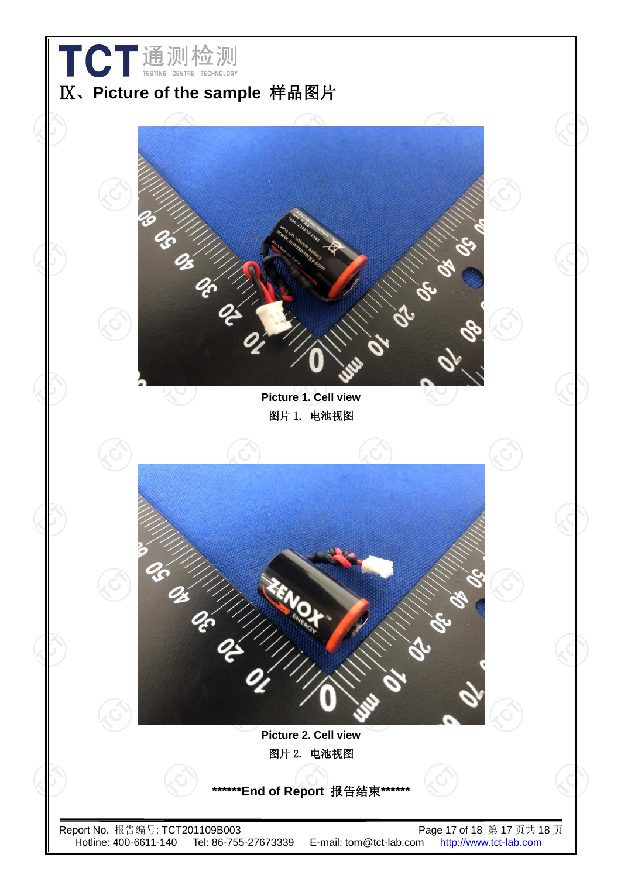